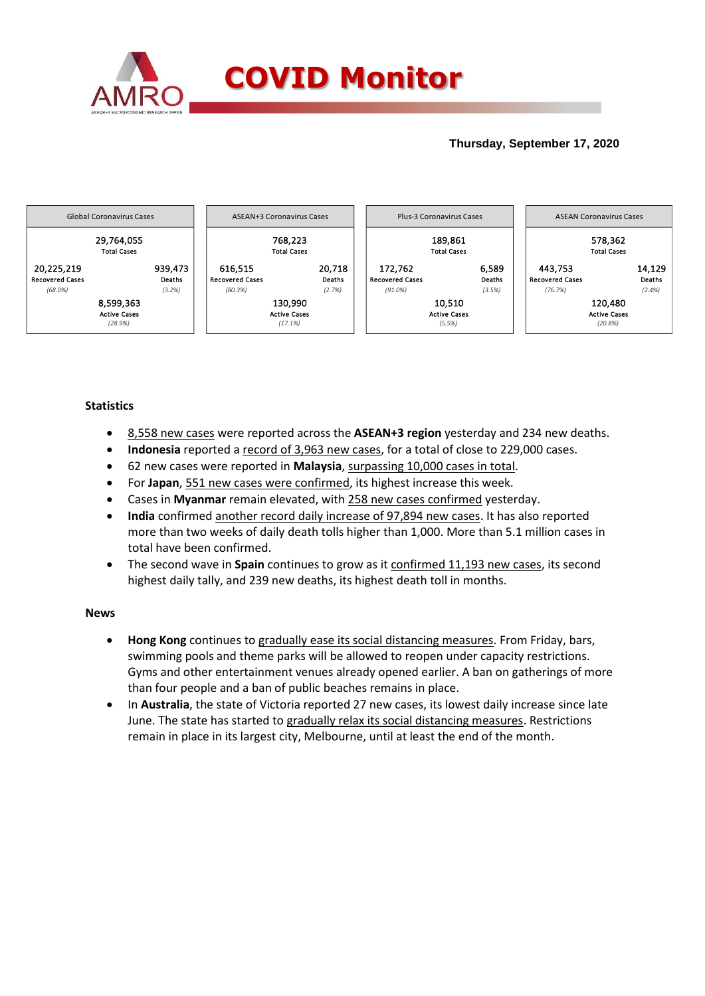

## **Thursday, September 17, 2020**



## **Statistics**

- 8,558 new cases were reported across the **ASEAN+3 region** yesterday and 234 new deaths.
- **Indonesia** reported a record of 3,963 new cases, for a total of close to 229,000 cases.
- 62 new cases were reported in **Malaysia**, surpassing 10,000 cases in total.
- For **Japan**, 551 new cases were confirmed, its highest increase this week.
- Cases in **Myanmar** remain elevated, with 258 new cases confirmed yesterday.
- **India** confirmed another record daily increase of 97,894 new cases. It has also reported more than two weeks of daily death tolls higher than 1,000. More than 5.1 million cases in total have been confirmed.
- The second wave in **Spain** continues to grow as it confirmed 11,193 new cases, its second highest daily tally, and 239 new deaths, its highest death toll in months.

## **News**

- **Hong Kong** continues to gradually ease its social distancing measures. From Friday, bars, swimming pools and theme parks will be allowed to reopen under capacity restrictions. Gyms and other entertainment venues already opened earlier. A ban on gatherings of more than four people and a ban of public beaches remains in place.
- In Australia, the state of Victoria reported 27 new cases, its lowest daily increase since late June. The state has started to gradually relax its social distancing measures. Restrictions remain in place in its largest city, Melbourne, until at least the end of the month.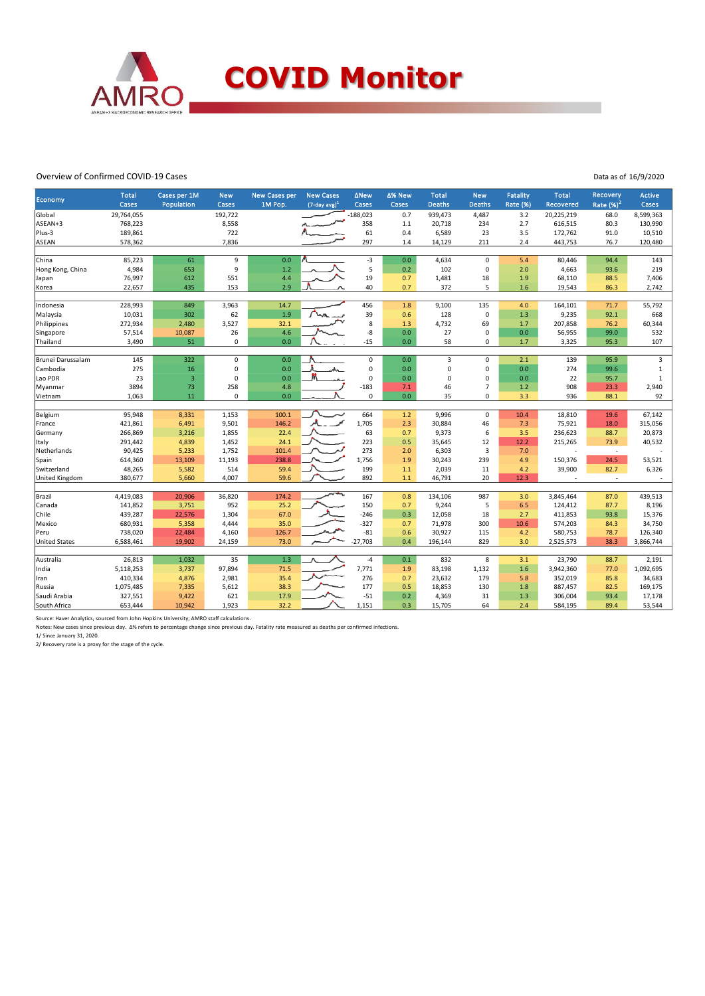

## Overview of Confirmed COVID-19 Cases

Data as of 16/9/2020

| Economy                | <b>Total</b><br><b>Cases</b> | Cases per 1M<br>Population | <b>New</b><br>Cases | <b>New Cases per</b><br>1M Pop. | <b>New Cases</b><br>$(7$ -day avg) <sup>1</sup> | <b>ANew</b><br>Cases  | ∆% New<br>Cases | <b>Total</b><br><b>Deaths</b> | <b>New</b><br><b>Deaths</b>   | <b>Fatality</b><br><b>Rate (%)</b> | <b>Total</b><br>Recovered | <b>Recovery</b><br>Rate $(%)2$ | Active<br>Cases |
|------------------------|------------------------------|----------------------------|---------------------|---------------------------------|-------------------------------------------------|-----------------------|-----------------|-------------------------------|-------------------------------|------------------------------------|---------------------------|--------------------------------|-----------------|
|                        |                              |                            |                     |                                 |                                                 |                       |                 |                               |                               |                                    |                           |                                |                 |
| Global<br>ASEAN+3      | 29,764,055<br>768,223        |                            | 192,722             |                                 |                                                 | $-188,023$<br>358     | 0.7             | 939,473                       | 4,487<br>234                  | 3.2                                | 20,225,219                | 68.0                           | 8,599,363       |
|                        |                              |                            | 8,558<br>722        |                                 |                                                 |                       | 1.1             | 20,718                        |                               | 2.7                                | 616,515                   | 80.3                           | 130,990         |
| Plus-3<br><b>ASEAN</b> | 189,861                      |                            | 7,836               |                                 |                                                 | 61<br>297             | 0.4<br>1.4      | 6,589                         | 23<br>211                     | 3.5<br>2.4                         | 172,762                   | 91.0                           | 10,510          |
|                        | 578,362                      |                            |                     |                                 |                                                 |                       |                 | 14,129                        |                               |                                    | 443,753                   | 76.7                           | 120,480         |
| China                  | 85,223                       | 61                         | 9                   | 0.0                             |                                                 | -3                    | 0.0             | 4,634                         | $\mathbf 0$                   | 5.4                                | 80,446                    | 94.4                           | 143             |
| Hong Kong, China       | 4,984                        | 653                        | 9                   | 1.2                             |                                                 | 5                     | 0.2             | 102                           | $\mathsf 0$                   | 2.0                                | 4,663                     | 93.6                           | 219             |
| Japan                  | 76,997                       | 612                        | 551                 | 4.4                             |                                                 | 19                    | 0.7             | 1,481                         | 18                            | 1.9                                | 68,110                    | 88.5                           | 7,406           |
| Korea                  | 22,657                       | 435                        | 153                 | 2.9                             |                                                 | 40                    | 0.7             | 372                           | 5                             | 1.6                                | 19,543                    | 86.3                           | 2,742           |
|                        |                              |                            |                     |                                 |                                                 |                       |                 |                               |                               |                                    |                           |                                |                 |
| Indonesia              | 228,993                      | 849                        | 3,963               | 14.7                            |                                                 | 456                   | 1.8             | 9,100                         | 135                           | 4.0                                | 164,101                   | 71.7                           | 55,792          |
| Malaysia               | 10,031                       | 302                        | 62                  | 1.9                             |                                                 | 39                    | 0.6             | 128                           | $\mathsf 0$                   | 1.3                                | 9,235                     | 92.1                           | 668             |
| Philippines            | 272,934                      | 2,480                      | 3,527               | 32.1                            |                                                 | 8                     | 1.3             | 4,732                         | 69                            | 1.7                                | 207,858                   | 76.2                           | 60,344          |
| Singapore              | 57,514                       | 10,087                     | 26                  | 4.6                             |                                                 | -8                    | 0.0             | 27                            | $\mathbf 0$                   | 0.0                                | 56,955                    | 99.0                           | 532             |
| Thailand               | 3,490                        | 51                         | 0                   | 0.0                             |                                                 | $-15$                 | 0.0             | 58                            | $\mathbf 0$                   | 1.7                                | 3,325                     | 95.3                           | 107             |
| Brunei Darussalam      | 145                          | 322                        | $\mathbf 0$         | 0.0                             |                                                 | $\mathbf 0$           | 0.0             | 3                             | $\mathbf 0$                   | 2.1                                | 139                       | 95.9                           | 3               |
|                        |                              |                            | $\mathbf 0$         | 0.0                             |                                                 | $\mathbf 0$           |                 | $\mathbf 0$                   | $\mathbf 0$                   |                                    |                           |                                |                 |
| Cambodia               | 275                          | 16                         | $\mathbf 0$         | 0.0                             | .A.                                             | $\mathbf 0$           | 0.0             | 0                             |                               | 0.0                                | 274                       | 99.6                           | $\mathbf 1$     |
| Lao PDR                | 23                           | $\overline{\mathbf{3}}$    |                     |                                 |                                                 |                       | 0.0             |                               | 0                             | 0.0                                | 22                        | 95.7                           | $\mathbf{1}$    |
| Myanmar                | 3894                         | 73<br>11                   | 258<br>$\Omega$     | 4.8<br>0.0                      |                                                 | $-183$<br>$\mathbf 0$ | 7.1             | 46                            | $\overline{7}$<br>$\mathbf 0$ | 1.2                                | 908                       | 23.3                           | 2,940           |
| Vietnam                | 1,063                        |                            |                     |                                 |                                                 |                       | 0.0             | 35                            |                               | 3.3                                | 936                       | 88.1                           | 92              |
| Belgium                | 95,948                       | 8,331                      | 1,153               | 100.1                           |                                                 | 664                   | 1.2             | 9,996                         | $\mathbf 0$                   | 10.4                               | 18,810                    | 19.6                           | 67,142          |
| France                 | 421,861                      | 6,491                      | 9,501               | 146.2                           |                                                 | 1,705                 | 2.3             | 30,884                        | 46                            | 7.3                                | 75,921                    | 18.0                           | 315,056         |
| Germany                | 266,869                      | 3,216                      | 1,855               | 22.4                            |                                                 | 63                    | 0.7             | 9,373                         | 6                             | 3.5                                | 236,623                   | 88.7                           | 20,873          |
| Italy                  | 291,442                      | 4,839                      | 1,452               | 24.1                            |                                                 | 223                   | 0.5             | 35,645                        | 12                            | 12.2                               | 215,265                   | 73.9                           | 40,532          |
| Netherlands            | 90,425                       | 5,233                      | 1,752               | 101.4                           |                                                 | 273                   | 2.0             | 6,303                         | $\overline{3}$                | 7.0                                |                           | $\overline{\phantom{a}}$       |                 |
| Spain                  | 614,360                      | 13,109                     | 11,193              | 238.8                           |                                                 | 1,756                 | 1.9             | 30,243                        | 239                           | 4.9                                | 150,376                   | 24.5                           | 53,521          |
| Switzerland            | 48,265                       | 5,582                      | 514                 | 59.4                            |                                                 | 199                   | 1.1             | 2,039                         | 11                            | 4.2                                | 39,900                    | 82.7                           | 6,326           |
| <b>United Kingdom</b>  | 380,677                      | 5,660                      | 4,007               | 59.6                            |                                                 | 892                   | 1.1             | 46,791                        | 20                            | 12.3                               |                           | ×.                             |                 |
|                        |                              |                            |                     |                                 |                                                 |                       |                 |                               |                               |                                    |                           |                                |                 |
| Brazil                 | 4,419,083                    | 20,906                     | 36,820              | 174.2                           |                                                 | 167                   | 0.8             | 134,106                       | 987                           | 3.0                                | 3,845,464                 | 87.0                           | 439,513         |
| Canada                 | 141,852                      | 3,751                      | 952                 | 25.2                            |                                                 | 150                   | 0.7             | 9,244                         | 5                             | 6.5                                | 124,412                   | 87.7                           | 8,196           |
| Chile                  | 439,287                      | 22,576                     | 1,304               | 67.0                            |                                                 | $-246$                | 0.3             | 12,058                        | 18                            | 2.7                                | 411,853                   | 93.8                           | 15,376          |
| Mexico                 | 680,931                      | 5,358                      | 4,444               | 35.0                            |                                                 | $-327$                | 0.7             | 71,978                        | 300                           | 10.6                               | 574,203                   | 84.3                           | 34,750          |
| Peru                   | 738,020                      | 22,484                     | 4,160               | 126.7                           |                                                 | $-81$                 | 0.6             | 30,927                        | 115                           | 4.2                                | 580,753                   | 78.7                           | 126,340         |
| <b>United States</b>   | 6,588,461                    | 19,902                     | 24,159              | 73.0                            |                                                 | $-27,703$             | 0.4             | 196,144                       | 829                           | 3.0                                | 2,525,573                 | 38.3                           | 3,866,744       |
| Australia              | 26,813                       | 1,032                      | $\overline{35}$     | 1.3                             |                                                 | $-4$                  | 0.1             | 832                           | 8                             | 3.1                                | 23,790                    | 88.7                           | 2,191           |
|                        |                              |                            |                     |                                 |                                                 |                       |                 |                               |                               |                                    |                           |                                |                 |
| India                  | 5,118,253                    | 3,737                      | 97,894              | 71.5                            |                                                 | 7,771                 | 1.9             | 83,198                        | 1,132                         | 1.6                                | 3,942,360                 | 77.0                           | 1,092,695       |
| Iran                   | 410,334                      | 4,876                      | 2,981               | 35.4                            |                                                 | 276                   | 0.7             | 23,632                        | 179                           | 5.8                                | 352,019                   | 85.8                           | 34,683          |
| Russia                 | 1,075,485                    | 7,335                      | 5,612               | 38.3                            |                                                 | 177                   | 0.5             | 18,853                        | 130                           | 1.8                                | 887,457                   | 82.5                           | 169,175         |
| Saudi Arabia           | 327,551                      | 9,422                      | 621                 | 17.9                            |                                                 | $-51$                 | 0.2             | 4,369                         | 31                            | 1.3                                | 306,004                   | 93.4                           | 17,178          |
| South Africa           | 653,444                      | 10,942                     | 1,923               | 32.2                            |                                                 | 1,151                 | 0.3             | 15,705                        | 64                            | 2.4                                | 584,195                   | 89.4                           | 53,544          |

Source: Haver Analytics, sourced from John Hopkins University; AMRO staff calculations.<br>Notes: New cases since previous day. Δ% refers to percentage change since previous day. Fatality rate measured as deaths per confirmed

1/ Since January 31, 2020. 2/ Recovery rate is a proxy for the stage of the cycle.